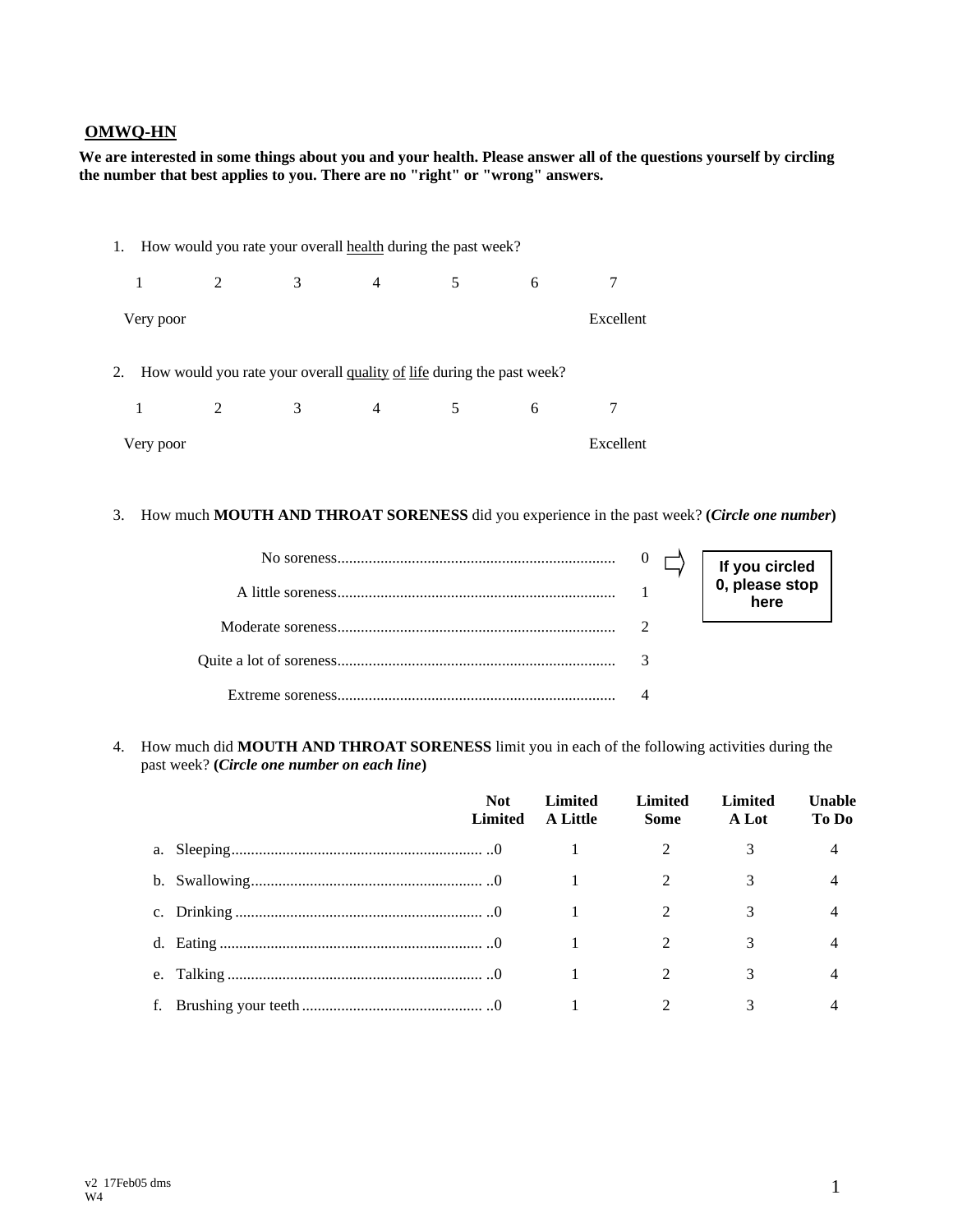## **OMWQ-HN**

**We are interested in some things about you and your health. Please answer all of the questions yourself by circling the number that best applies to you. There are no "right" or "wrong" answers.**

|           |                                                                          |   |                | 1. How would you rate your overall health during the past week? |   |           |
|-----------|--------------------------------------------------------------------------|---|----------------|-----------------------------------------------------------------|---|-----------|
|           | 2                                                                        | 3 | $\overline{4}$ | 5                                                               | 6 | 7         |
| Very poor |                                                                          |   |                |                                                                 |   | Excellent |
|           |                                                                          |   |                |                                                                 |   |           |
|           | 2. How would you rate your overall quality of life during the past week? |   |                |                                                                 |   |           |
|           |                                                                          |   |                |                                                                 |   |           |
|           | 2                                                                        | 3 | $\overline{4}$ | 5                                                               | 6 | 7         |
| Very poor |                                                                          |   |                |                                                                 |   | Excellent |

3. How much **MOUTH AND THROAT SORENESS** did you experience in the past week? **(***Circle one number***)**

|  | If you circled<br>0, please stop |
|--|----------------------------------|
|  | here                             |
|  |                                  |
|  |                                  |
|  |                                  |

4. How much did **MOUTH AND THROAT SORENESS** limit you in each of the following activities during the past week? **(***Circle one number on each line***)**

|  | <b>Not</b><br>Limited | Limited<br><b>A Little</b> | Limited<br><b>Some</b> | Limited<br>A Lot | Unable<br>To Do |
|--|-----------------------|----------------------------|------------------------|------------------|-----------------|
|  |                       |                            |                        |                  |                 |
|  |                       |                            |                        |                  |                 |
|  |                       |                            |                        |                  |                 |
|  |                       |                            |                        | 3                |                 |
|  |                       |                            |                        |                  |                 |
|  |                       |                            |                        |                  |                 |